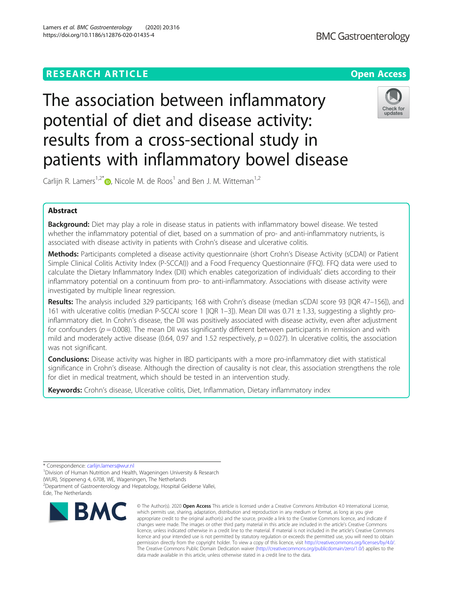# **RESEARCH ARTICLE Example 2014 12:30 The Contract of Contract ACCESS**

# The association between inflammatory potential of diet and disease activity: results from a cross-sectional study in patients with inflammatory bowel disease

Carlijn R. Lamers<sup>1,2[\\*](http://orcid.org/0000-0002-6857-7522)</sup>  $\bullet$ , Nicole M. de Roos<sup>1</sup> and Ben J. M. Witteman<sup>1,2</sup>

# Abstract

**Background:** Diet may play a role in disease status in patients with inflammatory bowel disease. We tested whether the inflammatory potential of diet, based on a summation of pro- and anti-inflammatory nutrients, is associated with disease activity in patients with Crohn's disease and ulcerative colitis.

Methods: Participants completed a disease activity questionnaire (short Crohn's Disease Activity (sCDAI) or Patient Simple Clinical Colitis Activity Index (P-SCCAI)) and a Food Frequency Questionnaire (FFQ). FFQ data were used to calculate the Dietary Inflammatory Index (DII) which enables categorization of individuals' diets according to their inflammatory potential on a continuum from pro- to anti-inflammatory. Associations with disease activity were investigated by multiple linear regression.

Results: The analysis included 329 participants; 168 with Crohn's disease (median sCDAI score 93 [IQR 47-156]), and 161 with ulcerative colitis (median P-SCCAI score 1 [IQR 1-3]). Mean DII was 0.71  $\pm$  1.33, suggesting a slightly proinflammatory diet. In Crohn's disease, the DII was positively associated with disease activity, even after adjustment for confounders ( $p = 0.008$ ). The mean DII was significantly different between participants in remission and with mild and moderately active disease (0.64, 0.97 and 1.52 respectively,  $p = 0.027$ ). In ulcerative colitis, the association was not significant.

**Conclusions:** Disease activity was higher in IBD participants with a more pro-inflammatory diet with statistical significance in Crohn's disease. Although the direction of causality is not clear, this association strengthens the role for diet in medical treatment, which should be tested in an intervention study.

Keywords: Crohn's disease, Ulcerative colitis, Diet, Inflammation, Dietary inflammatory index

\* Correspondence: [carlijn.lamers@wur.nl](mailto:carlijn.lamers@wur.nl) <sup>1</sup>

<sup>1</sup> Division of Human Nutrition and Health, Wageningen University & Research (WUR), Stippeneng 4, 6708, WE, Wageningen, The Netherlands <sup>2</sup>Department of Gastroenterology and Hepatology, Hospital Gelderse Vallei,

Ede, The Netherlands

© The Author(s), 2020 **Open Access** This article is licensed under a Creative Commons Attribution 4.0 International License, which permits use, sharing, adaptation, distribution and reproduction in any medium or format, as long as you give appropriate credit to the original author(s) and the source, provide a link to the Creative Commons licence, and indicate if changes were made. The images or other third party material in this article are included in the article's Creative Commons licence, unless indicated otherwise in a credit line to the material. If material is not included in the article's Creative Commons licence and your intended use is not permitted by statutory regulation or exceeds the permitted use, you will need to obtain permission directly from the copyright holder. To view a copy of this licence, visit [http://creativecommons.org/licenses/by/4.0/.](http://creativecommons.org/licenses/by/4.0/) The Creative Commons Public Domain Dedication waiver [\(http://creativecommons.org/publicdomain/zero/1.0/](http://creativecommons.org/publicdomain/zero/1.0/)) applies to the data made available in this article, unless otherwise stated in a credit line to the data.





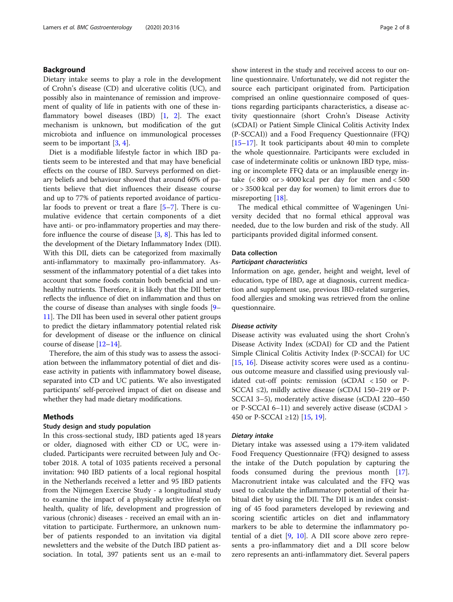# Background

Dietary intake seems to play a role in the development of Crohn's disease (CD) and ulcerative colitis (UC), and possibly also in maintenance of remission and improvement of quality of life in patients with one of these inflammatory bowel diseases (IBD) [\[1](#page-7-0), [2](#page-7-0)]. The exact mechanism is unknown, but modification of the gut microbiota and influence on immunological processes seem to be important [\[3,](#page-7-0) [4\]](#page-7-0).

Diet is a modifiable lifestyle factor in which IBD patients seem to be interested and that may have beneficial effects on the course of IBD. Surveys performed on dietary beliefs and behaviour showed that around 60% of patients believe that diet influences their disease course and up to 77% of patients reported avoidance of particular foods to prevent or treat a flare [[5](#page-7-0)–[7](#page-7-0)]. There is cumulative evidence that certain components of a diet have anti- or pro-inflammatory properties and may therefore influence the course of disease [\[3,](#page-7-0) [8](#page-7-0)]. This has led to the development of the Dietary Inflammatory Index (DII). With this DII, diets can be categorized from maximally anti-inflammatory to maximally pro-inflammatory. Assessment of the inflammatory potential of a diet takes into account that some foods contain both beneficial and unhealthy nutrients. Therefore, it is likely that the DII better reflects the influence of diet on inflammation and thus on the course of disease than analyses with single foods [[9](#page-7-0)– [11](#page-7-0)]. The DII has been used in several other patient groups to predict the dietary inflammatory potential related risk for development of disease or the influence on clinical course of disease [[12](#page-7-0)–[14\]](#page-7-0).

Therefore, the aim of this study was to assess the association between the inflammatory potential of diet and disease activity in patients with inflammatory bowel disease, separated into CD and UC patients. We also investigated participants' self-perceived impact of diet on disease and whether they had made dietary modifications.

#### Methods

## Study design and study population

In this cross-sectional study, IBD patients aged 18 years or older, diagnosed with either CD or UC, were included. Participants were recruited between July and October 2018. A total of 1035 patients received a personal invitation: 940 IBD patients of a local regional hospital in the Netherlands received a letter and 95 IBD patients from the Nijmegen Exercise Study - a longitudinal study to examine the impact of a physically active lifestyle on health, quality of life, development and progression of various (chronic) diseases - received an email with an invitation to participate. Furthermore, an unknown number of patients responded to an invitation via digital newsletters and the website of the Dutch IBD patient association. In total, 397 patients sent us an e-mail to show interest in the study and received access to our online questionnaire. Unfortunately, we did not register the source each participant originated from. Participation comprised an online questionnaire composed of questions regarding participants characteristics, a disease activity questionnaire (short Crohn's Disease Activity (sCDAI) or Patient Simple Clinical Colitis Activity Index (P-SCCAI)) and a Food Frequency Questionnaire (FFQ) [[15](#page-7-0)–[17](#page-7-0)]. It took participants about 40 min to complete the whole questionnaire. Participants were excluded in case of indeterminate colitis or unknown IBD type, missing or incomplete FFQ data or an implausible energy intake  $(< 800$  or  $> 4000$  kcal per day for men and  $< 500$ or > 3500 kcal per day for women) to limit errors due to misreporting [\[18](#page-7-0)].

The medical ethical committee of Wageningen University decided that no formal ethical approval was needed, due to the low burden and risk of the study. All participants provided digital informed consent.

## Data collection

#### Participant characteristics

Information on age, gender, height and weight, level of education, type of IBD, age at diagnosis, current medication and supplement use, previous IBD-related surgeries, food allergies and smoking was retrieved from the online questionnaire.

#### Disease activity

Disease activity was evaluated using the short Crohn's Disease Activity Index (sCDAI) for CD and the Patient Simple Clinical Colitis Activity Index (P-SCCAI) for UC [[15,](#page-7-0) [16](#page-7-0)]. Disease activity scores were used as a continuous outcome measure and classified using previously validated cut-off points: remission (sCDAI < 150 or P-SCCAI ≤2), mildly active disease (sCDAI 150–219 or P-SCCAI 3–5), moderately active disease (sCDAI 220–450 or P-SCCAI 6–11) and severely active disease (sCDAI > 450 or P-SCCAI ≥12) [\[15](#page-7-0), [19\]](#page-7-0).

## Dietary intake

Dietary intake was assessed using a 179-item validated Food Frequency Questionnaire (FFQ) designed to assess the intake of the Dutch population by capturing the foods consumed during the previous month [\[17](#page-7-0)]. Macronutrient intake was calculated and the FFQ was used to calculate the inflammatory potential of their habitual diet by using the DII. The DII is an index consisting of 45 food parameters developed by reviewing and scoring scientific articles on diet and inflammatory markers to be able to determine the inflammatory potential of a diet  $[9, 10]$  $[9, 10]$  $[9, 10]$ . A DII score above zero represents a pro-inflammatory diet and a DII score below zero represents an anti-inflammatory diet. Several papers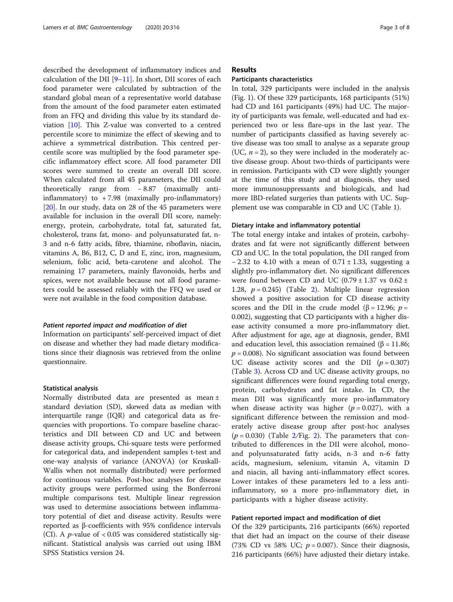described the development of inflammatory indices and calculation of the DII  $[9-11]$  $[9-11]$  $[9-11]$ . In short, DII scores of each food parameter were calculated by subtraction of the standard global mean of a representative world database from the amount of the food parameter eaten estimated from an FFQ and dividing this value by its standard deviation [[10](#page-7-0)]. This Z-value was converted to a centred percentile score to minimize the effect of skewing and to achieve a symmetrical distribution. This centred percentile score was multiplied by the food parameter specific inflammatory effect score. All food parameter DII scores were summed to create an overall DII score. When calculated from all 45 parameters, the DII could theoretically range from − 8.87 (maximally antiinflammatory) to  $+7.98$  (maximally pro-inflammatory) [[20\]](#page-7-0). In our study, data on 28 of the 45 parameters were available for inclusion in the overall DII score, namely: energy, protein, carbohydrate, total fat, saturated fat, cholesterol, trans fat, mono- and polyunsaturated fat, n-3 and n-6 fatty acids, fibre, thiamine, riboflavin, niacin, vitamins A, B6, B12, C, D and E, zinc, iron, magnesium, selenium, folic acid, beta-carotene and alcohol. The remaining 17 parameters, mainly flavonoids, herbs and spices, were not available because not all food parameters could be assessed reliably with the FFQ we used or were not available in the food composition database.

#### Patient reported impact and modification of diet

Information on participants' self-perceived impact of diet on disease and whether they had made dietary modifications since their diagnosis was retrieved from the online questionnaire.

#### Statistical analysis

Normally distributed data are presented as mean ± standard deviation (SD), skewed data as median with interquartile range (IQR) and categorical data as frequencies with proportions. To compare baseline characteristics and DII between CD and UC and between disease activity groups, Chi-square tests were performed for categorical data, and independent samples t-test and one-way analysis of variance (ANOVA) (or Kruskall-Wallis when not normally distributed) were performed for continuous variables. Post-hoc analyses for disease activity groups were performed using the Bonferroni multiple comparisons test. Multiple linear regression was used to determine associations between inflammatory potential of diet and disease activity. Results were reported as β-coefficients with 95% confidence intervals (CI). A *p*-value of  $< 0.05$  was considered statistically significant. Statistical analysis was carried out using IBM SPSS Statistics version 24.

# Results

#### Participants characteristics

In total, 329 participants were included in the analysis (Fig. [1](#page-3-0)). Of these 329 participants, 168 participants (51%) had CD and 161 participants (49%) had UC. The majority of participants was female, well-educated and had experienced two or less flare-ups in the last year. The number of participants classified as having severely active disease was too small to analyse as a separate group (UC,  $n = 2$ ), so they were included in the moderately active disease group. About two-thirds of participants were in remission. Participants with CD were slightly younger at the time of this study and at diagnosis, they used more immunosuppressants and biologicals, and had more IBD-related surgeries than patients with UC. Supplement use was comparable in CD and UC (Table [1](#page-4-0)).

#### Dietary intake and inflammatory potential

The total energy intake and intakes of protein, carbohydrates and fat were not significantly different between CD and UC. In the total population, the DII ranged from  $-2.32$  to 4.10 with a mean of  $0.71 \pm 1.33$ , suggesting a slightly pro-inflammatory diet. No significant differences were found between CD and UC (0.79  $\pm$  1.37 vs 0.62  $\pm$ 1.[2](#page-5-0)8,  $p = 0.245$ ) (Table 2). Multiple linear regression showed a positive association for CD disease activity scores and the DII in the crude model ( $\beta$  = 12.96; *p* = 0.002), suggesting that CD participants with a higher disease activity consumed a more pro-inflammatory diet. After adjustment for age, age at diagnosis, gender, BMI and education level, this association remained (β = 11.86;  $p = 0.008$ ). No significant association was found between UC disease activity scores and the DII  $(p = 0.307)$ (Table [3](#page-5-0)). Across CD and UC disease activity groups, no significant differences were found regarding total energy, protein, carbohydrates and fat intake. In CD, the mean DII was significantly more pro-inflammatory when disease activity was higher ( $p = 0.027$ ), with a significant difference between the remission and moderately active disease group after post-hoc analyses  $(p = 0.030)$  (Table [2](#page-6-0)/Fig. 2). The parameters that contributed to differences in the DII were alcohol, monoand polyunsaturated fatty acids, n-3 and n-6 fatty acids, magnesium, selenium, vitamin A, vitamin D and niacin, all having anti-inflammatory effect scores. Lower intakes of these parameters led to a less antiinflammatory, so a more pro-inflammatory diet, in participants with a higher disease activity.

# Patient reported impact and modification of diet

Of the 329 participants, 216 participants (66%) reported that diet had an impact on the course of their disease (73% CD vs 58% UC;  $p = 0.007$ ). Since their diagnosis, 216 participants (66%) have adjusted their dietary intake.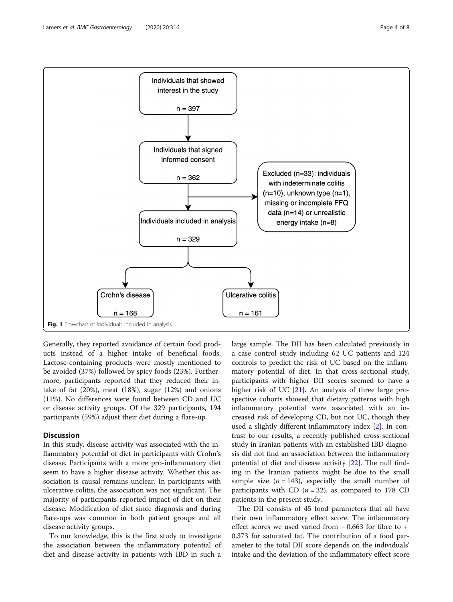<span id="page-3-0"></span>

Generally, they reported avoidance of certain food products instead of a higher intake of beneficial foods. Lactose-containing products were mostly mentioned to be avoided (37%) followed by spicy foods (23%). Furthermore, participants reported that they reduced their intake of fat (20%), meat (18%), sugar (12%) and onions (11%). No differences were found between CD and UC or disease activity groups. Of the 329 participants, 194 participants (59%) adjust their diet during a flare-up.

# **Discussion**

In this study, disease activity was associated with the inflammatory potential of diet in participants with Crohn's disease. Participants with a more pro-inflammatory diet seem to have a higher disease activity. Whether this association is causal remains unclear. In participants with ulcerative colitis, the association was not significant. The majority of participants reported impact of diet on their disease. Modification of diet since diagnosis and during flare-ups was common in both patient groups and all disease activity groups.

To our knowledge, this is the first study to investigate the association between the inflammatory potential of diet and disease activity in patients with IBD in such a large sample. The DII has been calculated previously in a case control study including 62 UC patients and 124 controls to predict the risk of UC based on the inflammatory potential of diet. In that cross-sectional study, participants with higher DII scores seemed to have a higher risk of UC [[21\]](#page-7-0). An analysis of three large prospective cohorts showed that dietary patterns with high inflammatory potential were associated with an increased risk of developing CD, but not UC, though they used a slightly different inflammatory index [[2\]](#page-7-0). In contrast to our results, a recently published cross-sectional study in Iranian patients with an established IBD diagnosis did not find an association between the inflammatory potential of diet and disease activity [\[22\]](#page-7-0). The null finding in the Iranian patients might be due to the small sample size  $(n = 143)$ , especially the small number of participants with CD ( $n = 32$ ), as compared to 178 CD patients in the present study.

The DII consists of 45 food parameters that all have their own inflammatory effect score. The inflammatory effect scores we used varied from − 0.663 for fibre to + 0.373 for saturated fat. The contribution of a food parameter to the total DII score depends on the individuals' intake and the deviation of the inflammatory effect score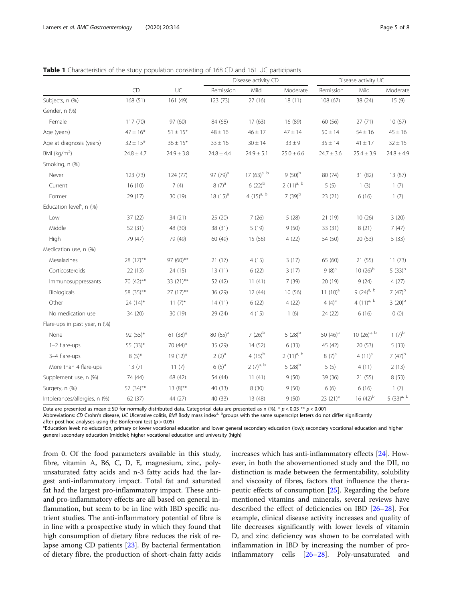<span id="page-4-0"></span>

|                                      |                |                | Disease activity CD  |                  |                | Disease activity UC |                  |                 |
|--------------------------------------|----------------|----------------|----------------------|------------------|----------------|---------------------|------------------|-----------------|
|                                      | CD             | UC             | Remission            | Mild             | Moderate       | Remission           | Mild             | Moderate        |
| Subjects, n (%)                      | 168(51)        | 161 (49)       | 123 (73)             | 27(16)           | 18(11)         | 108 (67)            | 38 (24)          | 15(9)           |
| Gender, n (%)                        |                |                |                      |                  |                |                     |                  |                 |
| Female                               | 117 (70)       | 97 (60)        | 84 (68)              | 17(63)           | 16 (89)        | 60 (56)             | 27(71)           | 10(67)          |
| Age (years)                          | $47 \pm 16*$   | $51 \pm 15*$   | $48 \pm 16$          | $46 \pm 17$      | $47 \pm 14$    | $50 \pm 14$         | $54 \pm 16$      | $45 \pm 16$     |
| Age at diagnosis (years)             | $32 \pm 15*$   | $36 \pm 15*$   | $33 \pm 16$          | $30 \pm 14$      | $33 \pm 9$     | $35 \pm 14$         | $41 \pm 17$      | $32 \pm 15$     |
| BMI (kg/m <sup>2</sup> )             | $24.8 \pm 4.7$ | $24.9 \pm 3.8$ | $24.8 \pm 4.4$       | $24.9 \pm 5.1$   | $25.0 \pm 6.6$ | $24.7 \pm 3.6$      | $25.4 \pm 3.9$   | $24.8 \pm 4.9$  |
| Smoking, n (%)                       |                |                |                      |                  |                |                     |                  |                 |
| Never                                | 123 (73)       | 124(77)        | 97 (79) <sup>a</sup> | 17 $(63)^{a, b}$ | $9(50)^b$      | 80 (74)             | 31 (82)          | 13 (87)         |
| Current                              | 16(10)         | 7(4)           | $8(7)^{a}$           | $6(22)^{b}$      | $2(11)^{a, b}$ | 5(5)                | 1(3)             | 1(7)            |
| Former                               | 29 (17)        | 30 (19)        | 18 $(15)^a$          | 4 $(15)^{a, b}$  | $7(39)^{b}$    | 23(21)              | 6(16)            | 1(7)            |
| Education level <sup>c</sup> , n (%) |                |                |                      |                  |                |                     |                  |                 |
| Low                                  | 37(22)         | 34 (21)        | 25 (20)              | 7(26)            | 5(28)          | 21 (19)             | 10(26)           | 3(20)           |
| Middle                               | 52 (31)        | 48 (30)        | 38 (31)              | 5(19)            | 9(50)          | 33 (31)             | 8(21)            | 7(47)           |
| High                                 | 79 (47)        | 79 (49)        | 60 (49)              | 15 (56)          | 4(22)          | 54 (50)             | 20 (53)          | 5(33)           |
| Medication use, n (%)                |                |                |                      |                  |                |                     |                  |                 |
| Mesalazines                          | 28 (17)**      | 97 (60)**      | 21(17)               | 4(15)            | 3(17)          | 65 (60)             | 21(55)           | 11(73)          |
| Corticosteroids                      | 22(13)         | 24(15)         | 13(11)               | 6(22)            | 3(17)          | $9(8)^a$            | $10(26)^{b}$     | $5(33)^{b}$     |
| Immunosuppressants                   | 70 (42)**      | 33 (21)**      | 52 (42)              | 11(41)           | 7(39)          | 20 (19)             | 9(24)            | 4(27)           |
| Biologicals                          | 58 (35)**      | $27(17)$ **    | 36 (29)              | 12(44)           | 10(56)         | 11 $(10)^a$         | 9 $(24)^{a, b}$  | 7 $(47)^{b}$    |
| Other                                | $24(14)^{*}$   | $11(7)$ *      | 14(11)               | 6(22)            | 4(22)          | 4 $(4)^a$           | 4 $(11)^{a, b}$  | $3(20)^{b}$     |
| No medication use                    | 34 (20)        | 30 (19)        | 29 (24)              | 4(15)            | 1(6)           | 24 (22)             | 6(16)            | 0(0)            |
| Flare-ups in past year, n (%)        |                |                |                      |                  |                |                     |                  |                 |
| None                                 | 92 (55)*       | 61 $(38)^*$    | 80 $(65)^a$          | $7(26)^{b}$      | $5(28)^{b}$    | 50 $(46)^a$         | 10 $(26)^{a, b}$ | $1(7)^{b}$      |
| 1-2 flare-ups                        | 55 (33)*       | 70 (44)*       | 35 (29)              | 14(52)           | 6(33)          | 45 (42)             | 20(53)           | 5(33)           |
| 3-4 flare-ups                        | $8(5)^{*}$     | $19(12)^{*}$   | $2(2)^{a}$           | 4 $(15)^{b}$     | $2(11)^{a, b}$ | $8(7)^{a}$          | 4 $(11)^a$       | $7(47)^{b}$     |
| More than 4 flare-ups                | 13(7)          | 11(7)          | $6(5)^{a}$           | $2(7)^{a, b}$    | $5(28)^{b}$    | 5(5)                | 4(11)            | 2(13)           |
| Supplement use, n (%)                | 74 (44)        | 68 (42)        | 54 (44)              | 11(41)           | 9(50)          | 39 (36)             | 21 (55)          | 8(53)           |
| Surgery, n (%)                       | 57 (34)**      | $13(8)$ **     | 40 (33)              | 8 (30)           | 9(50)          | 6(6)                | 6(16)            | 1(7)            |
| Intolerances/allergies, n (%)        | 62 (37)        | 44 (27)        | 40 (33)              | 13 (48)          | 9(50)          | $23(21)^a$          | 16 $(42)^{b}$    | 5 $(33)^{a, b}$ |

Data are presented as mean  $\pm$  SD for normally distributed data. Categorical data are presented as n (%). \*  $p < 0.05$  \*\*  $p < 0.001$ 

Abbreviations: CD Crohn's disease, UC Ulcerative colitis, BMI Body mass index<sup>a, b</sup>groups with the same superscript letters do not differ significantly

after post-hoc analyses using the Bonferroni test ( $p > 0.05$ )

Education level: no education, primary or lower vocational education and lower general secondary education (low); secondary vocational education and higher general secondary education (middle); higher vocational education and university (high)

from 0. Of the food parameters available in this study, fibre, vitamin A, B6, C, D, E, magnesium, zinc, polyunsaturated fatty acids and n-3 fatty acids had the largest anti-inflammatory impact. Total fat and saturated fat had the largest pro-inflammatory impact. These antiand pro-inflammatory effects are all based on general inflammation, but seem to be in line with IBD specific nutrient studies. The anti-inflammatory potential of fibre is in line with a prospective study in which they found that high consumption of dietary fibre reduces the risk of relapse among CD patients [[23](#page-7-0)]. By bacterial fermentation of dietary fibre, the production of short-chain fatty acids increases which has anti-inflammatory effects [\[24](#page-7-0)]. However, in both the abovementioned study and the DII, no distinction is made between the fermentability, solubility and viscosity of fibres, factors that influence the therapeutic effects of consumption [[25\]](#page-7-0). Regarding the before mentioned vitamins and minerals, several reviews have described the effect of deficiencies on IBD [[26](#page-7-0)–[28\]](#page-7-0). For example, clinical disease activity increases and quality of life decreases significantly with lower levels of vitamin D, and zinc deficiency was shown to be correlated with inflammation in IBD by increasing the number of proinflammatory cells [[26](#page-7-0)–[28](#page-7-0)]. Poly-unsaturated and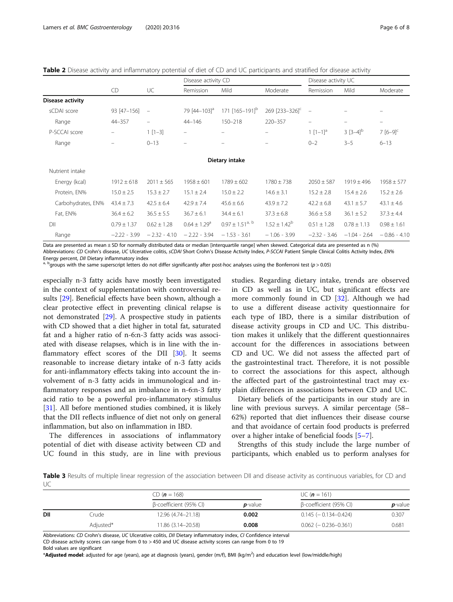<span id="page-5-0"></span>Table 2 Disease activity and inflammatory potential of diet of CD and UC participants and stratified for disease activity

|                         |                 |                          | Disease activity CD          |                                 |                            | Disease activity UC      |                          |                          |
|-------------------------|-----------------|--------------------------|------------------------------|---------------------------------|----------------------------|--------------------------|--------------------------|--------------------------|
|                         | CD              | UC                       | Remission                    | Mild                            | Moderate                   | Remission                | Mild                     | Moderate                 |
| <b>Disease activity</b> |                 |                          |                              |                                 |                            |                          |                          |                          |
| sCDAI score             | 93 [47-156]     | $\overline{\phantom{a}}$ | 79 [44-103] <sup>a</sup>     | 171 [165-191] <sup>b</sup>      | 269 [233-326] <sup>c</sup> | $\equiv$                 |                          |                          |
| Range                   | $44 - 357$      | $\overline{\phantom{0}}$ | $44 - 146$                   | 150-218                         | 220-357                    | $\overline{\phantom{m}}$ | $\overline{\phantom{0}}$ | $\overline{\phantom{m}}$ |
| P-SCCAI score           |                 | $1[1-3]$                 | $\equiv$                     |                                 |                            | $1$ $[1-1]$ <sup>a</sup> | $3 [3-4]^{b}$            | $7 [6 - 9]^{c}$          |
| Range                   | -               | $0 - 13$                 | -                            |                                 | $\qquad \qquad -$          | $0 - 2$                  | $3 - 5$                  | $6 - 13$                 |
|                         |                 |                          |                              | Dietary intake                  |                            |                          |                          |                          |
| Nutrient intake         |                 |                          |                              |                                 |                            |                          |                          |                          |
| Energy (kcal)           | $1912 \pm 618$  | $2011 \pm 565$           | $1958 \pm 601$               | $1789 \pm 602$                  | $1780 \pm 738$             | $2050 \pm 587$           | $1919 \pm 496$           | $1958 \pm 577$           |
| Protein, EN%            | $15.0 \pm 2.5$  | $15.3 \pm 2.7$           | $15.1 \pm 2.4$               | $15.0 \pm 2.2$                  | $14.6 \pm 3.1$             | $15.2 \pm 2.8$           | $15.4 \pm 2.6$           | $15.2 \pm 2.6$           |
| Carbohydrates, EN%      | $43.4 \pm 7.3$  | $42.5 \pm 6.4$           | $42.9 \pm 7.4$               | $45.6 \pm 6.6$                  | $43.9 \pm 7.2$             | $42.2 \pm 6.8$           | $43.1 \pm 5.7$           | $43.1 \pm 4.6$           |
| Fat, EN%                | $36.4 \pm 6.2$  | $36.5 \pm 5.5$           | $36.7 \pm 6.1$               | $34.4 \pm 6.1$                  | $37.3 \pm 6.8$             | $36.6 \pm 5.8$           | $36.1 \pm 5.2$           | $37.3 \pm 4.4$           |
| DII                     | $0.79 \pm 1.37$ | $0.62 \pm 1.28$          | $0.64 \pm 1.29$ <sup>a</sup> | $0.97 \pm 1.51$ <sup>a, b</sup> | $1.52 \pm 1.42^b$          | $0.51 \pm 1.28$          | $0.78 \pm 1.13$          | $0.98 \pm 1.61$          |
| Range                   | $-2.22 - 3.99$  | $-2.32 - 4.10$           | $-2.22 - 3.94$               | $-1.53 - 3.61$                  | $-1.06 - 3.99$             | $-2.32 - 3.46$           | $-1.04 - 2.64$           | $-0.86 - 4.10$           |

Data are presented as mean  $\pm$  SD for normally distributed data or median [interquartile range] when skewed. Categorical data are presented as n (%) Abbreviations: CD Crohn's disease, UC Ulcerative colitis, sCDAI Short Crohn's Disease Activity Index, P-SCCAI Patient Simple Clinical Colitis Activity Index, EN%<br>Energy percent, DII Dietary inflammatory index

<sup>a, b</sup>groups with the same superscript letters do not differ significantly after post-hoc analyses using the Bonferroni test (p > 0.05)

especially n-3 fatty acids have mostly been investigated in the context of supplementation with controversial results [[29](#page-7-0)]. Beneficial effects have been shown, although a clear protective effect in preventing clinical relapse is not demonstrated [\[29](#page-7-0)]. A prospective study in patients with CD showed that a diet higher in total fat, saturated fat and a higher ratio of n-6:n-3 fatty acids was associated with disease relapses, which is in line with the inflammatory effect scores of the DII [\[30](#page-7-0)]. It seems reasonable to increase dietary intake of n-3 fatty acids for anti-inflammatory effects taking into account the involvement of n-3 fatty acids in immunological and inflammatory responses and an imbalance in n-6:n-3 fatty acid ratio to be a powerful pro-inflammatory stimulus [[31\]](#page-7-0). All before mentioned studies combined, it is likely that the DII reflects influence of diet not only on general inflammation, but also on inflammation in IBD.

The differences in associations of inflammatory potential of diet with disease activity between CD and UC found in this study, are in line with previous

studies. Regarding dietary intake, trends are observed in CD as well as in UC, but significant effects are more commonly found in CD [\[32](#page-7-0)]. Although we had to use a different disease activity questionnaire for each type of IBD, there is a similar distribution of disease activity groups in CD and UC. This distribution makes it unlikely that the different questionnaires account for the differences in associations between CD and UC. We did not assess the affected part of the gastrointestinal tract. Therefore, it is not possible to correct the associations for this aspect, although the affected part of the gastrointestinal tract may explain differences in associations between CD and UC.

Dietary beliefs of the participants in our study are in line with previous surveys. A similar percentage (58– 62%) reported that diet influences their disease course and that avoidance of certain food products is preferred over a higher intake of beneficial foods [\[5](#page-7-0)–[7\]](#page-7-0).

Strengths of this study include the large number of participants, which enabled us to perform analyses for

Table 3 Results of multiple linear regression of the association between DII and disease activity as continuous variables, for CD and UC

|     |           | CD ( $n = 168$ )       |            | UC ( $n = 161$ )             |            |  |
|-----|-----------|------------------------|------------|------------------------------|------------|--|
|     |           | β-coefficient (95% CI) | $p$ -value | β-coefficient (95% CI)       | $p$ -value |  |
| DII | Crude     | 12.96 (4.74-21.18)     | 0.002      | $0.145 (-0.134 - 0.424)$     | 0.307      |  |
|     | Adiusted* | 11.86 (3.14-20.58)     | 0.008      | $0.062$ ( $-0.236 - 0.361$ ) | 0.681      |  |

Abbreviations: CD Crohn's disease, UC Ulcerative colitis, DII Dietary inflammatory index, CI Confidence interval CD disease activity scores can range from 0 to > 450 and UC disease activity scores can range from 0 to 19

Bold values are significant

\*Adjusted model: adjusted for age (years), age at diagnosis (years), gender (m/f), BMI (kg/m2 ) and education level (low/middle/high)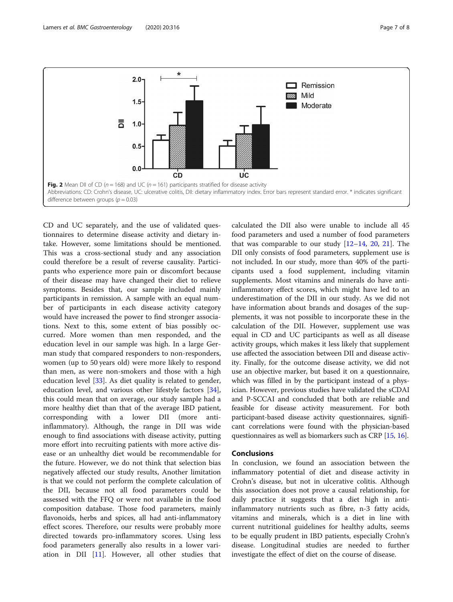<span id="page-6-0"></span>

CD and UC separately, and the use of validated questionnaires to determine disease activity and dietary intake. However, some limitations should be mentioned. This was a cross-sectional study and any association could therefore be a result of reverse causality. Participants who experience more pain or discomfort because of their disease may have changed their diet to relieve symptoms. Besides that, our sample included mainly participants in remission. A sample with an equal number of participants in each disease activity category would have increased the power to find stronger associations. Next to this, some extent of bias possibly occurred. More women than men responded, and the education level in our sample was high. In a large German study that compared responders to non-responders, women (up to 50 years old) were more likely to respond than men, as were non-smokers and those with a high education level [\[33\]](#page-7-0). As diet quality is related to gender, education level, and various other lifestyle factors [\[34](#page-7-0)], this could mean that on average, our study sample had a more healthy diet than that of the average IBD patient, corresponding with a lower DII (more antiinflammatory). Although, the range in DII was wide enough to find associations with disease activity, putting more effort into recruiting patients with more active disease or an unhealthy diet would be recommendable for the future. However, we do not think that selection bias negatively affected our study results, Another limitation is that we could not perform the complete calculation of the DII, because not all food parameters could be assessed with the FFQ or were not available in the food composition database. Those food parameters, mainly flavonoids, herbs and spices, all had anti-inflammatory effect scores. Therefore, our results were probably more directed towards pro-inflammatory scores. Using less food parameters generally also results in a lower variation in DII [\[11](#page-7-0)]. However, all other studies that

calculated the DII also were unable to include all 45 food parameters and used a number of food parameters that was comparable to our study  $[12-14, 20, 21]$  $[12-14, 20, 21]$  $[12-14, 20, 21]$  $[12-14, 20, 21]$  $[12-14, 20, 21]$  $[12-14, 20, 21]$  $[12-14, 20, 21]$ . The DII only consists of food parameters, supplement use is not included. In our study, more than 40% of the participants used a food supplement, including vitamin supplements. Most vitamins and minerals do have antiinflammatory effect scores, which might have led to an underestimation of the DII in our study. As we did not have information about brands and dosages of the supplements, it was not possible to incorporate these in the calculation of the DII. However, supplement use was equal in CD and UC participants as well as all disease activity groups, which makes it less likely that supplement use affected the association between DII and disease activity. Finally, for the outcome disease activity, we did not use an objective marker, but based it on a questionnaire, which was filled in by the participant instead of a physician. However, previous studies have validated the sCDAI and P-SCCAI and concluded that both are reliable and feasible for disease activity measurement. For both participant-based disease activity questionnaires, significant correlations were found with the physician-based questionnaires as well as biomarkers such as CRP [\[15,](#page-7-0) [16](#page-7-0)].

# Conclusions

In conclusion, we found an association between the inflammatory potential of diet and disease activity in Crohn's disease, but not in ulcerative colitis. Although this association does not prove a causal relationship, for daily practice it suggests that a diet high in antiinflammatory nutrients such as fibre, n-3 fatty acids, vitamins and minerals, which is a diet in line with current nutritional guidelines for healthy adults, seems to be equally prudent in IBD patients, especially Crohn's disease. Longitudinal studies are needed to further investigate the effect of diet on the course of disease.